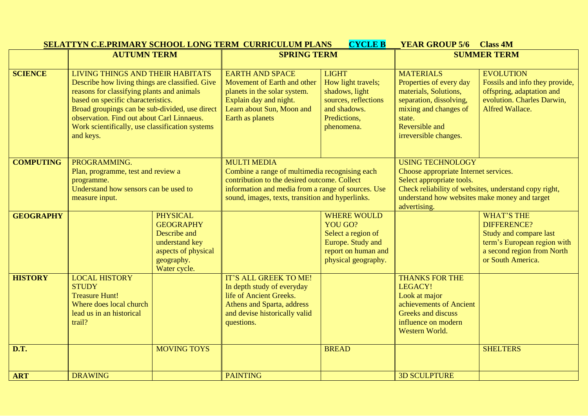|                  |                                                                                                                                                                                                                                                                                                                                         |                                                                                                                            | <b>SELATTYN C.E.PRIMARY SCHOOL LONG TERM CURRICULUM PLANS</b>                                                                                                                                                                  | <b>CYCLE B</b>                                                                                                                | <b>YEAR GROUP 5/6</b>                                                                                                                                                                                                   | <b>Class 4M</b>                                                                                                                                     |
|------------------|-----------------------------------------------------------------------------------------------------------------------------------------------------------------------------------------------------------------------------------------------------------------------------------------------------------------------------------------|----------------------------------------------------------------------------------------------------------------------------|--------------------------------------------------------------------------------------------------------------------------------------------------------------------------------------------------------------------------------|-------------------------------------------------------------------------------------------------------------------------------|-------------------------------------------------------------------------------------------------------------------------------------------------------------------------------------------------------------------------|-----------------------------------------------------------------------------------------------------------------------------------------------------|
|                  | <b>AUTUMN TERM</b>                                                                                                                                                                                                                                                                                                                      |                                                                                                                            | <b>SPRING TERM</b>                                                                                                                                                                                                             |                                                                                                                               | <b>SUMMER TERM</b>                                                                                                                                                                                                      |                                                                                                                                                     |
| <b>SCIENCE</b>   | LIVING THINGS AND THEIR HABITATS<br>Describe how living things are classified. Give<br>reasons for classifying plants and animals<br>based on specific characteristics.<br>Broad groupings can be sub-divided, use direct<br>observation. Find out about Carl Linnaeus.<br>Work scientifically, use classification systems<br>and keys. |                                                                                                                            | <b>EARTH AND SPACE</b><br>Movement of Earth and other<br>planets in the solar system.<br>Explain day and night.<br>Learn about Sun, Moon and<br>Earth as planets                                                               | <b>LIGHT</b><br>How light travels;<br>shadows, light<br>sources, reflections<br>and shadows.<br>Predictions,<br>phenomena.    | <b>MATERIALS</b><br>Properties of every day<br>materials, Solutions,<br>separation, dissolving,<br>mixing and changes of<br>state.<br>Reversible and<br>irreversible changes.                                           | <b>EVOLUTION</b><br>Fossils and info they provide,<br>offspring, adaptation and<br>evolution. Charles Darwin,<br>Alfred Wallace.                    |
| <b>COMPUTING</b> | PROGRAMMING.<br>Plan, programme, test and review a<br>programme.<br>Understand how sensors can be used to<br>measure input.                                                                                                                                                                                                             |                                                                                                                            | <b>MULTI MEDIA</b><br>Combine a range of multimedia recognising each<br>contribution to the desired outcome. Collect<br>information and media from a range of sources. Use<br>sound, images, texts, transition and hyperlinks. |                                                                                                                               | <b>USING TECHNOLOGY</b><br>Choose appropriate Internet services.<br>Select appropriate tools.<br>Check reliability of websites, understand copy right,<br>understand how websites make money and target<br>advertising. |                                                                                                                                                     |
| <b>GEOGRAPHY</b> |                                                                                                                                                                                                                                                                                                                                         | <b>PHYSICAL</b><br><b>GEOGRAPHY</b><br>Describe and<br>understand key<br>aspects of physical<br>geography.<br>Water cycle. |                                                                                                                                                                                                                                | <b>WHERE WOULD</b><br><b>YOU GO?</b><br>Select a region of<br>Europe. Study and<br>report on human and<br>physical geography. |                                                                                                                                                                                                                         | <b>WHAT'S THE</b><br><b>DIFFERENCE?</b><br>Study and compare last<br>term's European region with<br>a second region from North<br>or South America. |
| <b>HISTORY</b>   | <b>LOCAL HISTORY</b><br><b>STUDY</b><br><b>Treasure Hunt!</b><br>Where does local church<br>lead us in an historical<br>trail?                                                                                                                                                                                                          |                                                                                                                            | IT'S ALL GREEK TO ME!<br>In depth study of everyday<br>life of Ancient Greeks.<br>Athens and Sparta, address<br>and devise historically valid<br>questions.                                                                    |                                                                                                                               | <b>THANKS FOR THE</b><br>LEGACY!<br>Look at major<br>achievements of Ancient<br>Greeks and discuss<br>influence on modern<br>Western World.                                                                             |                                                                                                                                                     |
| D.T.             |                                                                                                                                                                                                                                                                                                                                         | <b>MOVING TOYS</b>                                                                                                         |                                                                                                                                                                                                                                | <b>BREAD</b>                                                                                                                  |                                                                                                                                                                                                                         | <b>SHELTERS</b>                                                                                                                                     |
| <b>ART</b>       | <b>DRAWING</b>                                                                                                                                                                                                                                                                                                                          |                                                                                                                            | <b>PAINTING</b>                                                                                                                                                                                                                |                                                                                                                               | <b>3D SCULPTURE</b>                                                                                                                                                                                                     |                                                                                                                                                     |